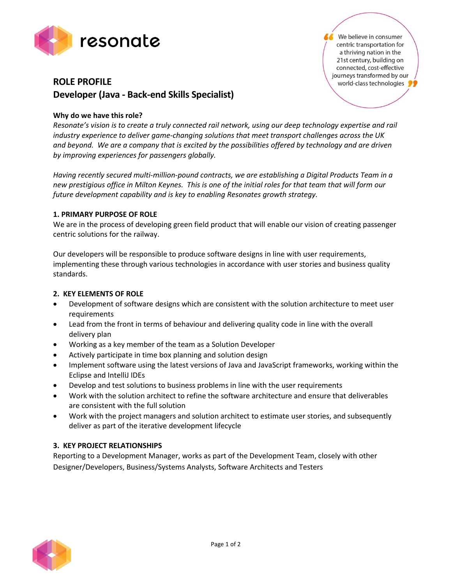

# **ROLE PROFILE Developer (Java - Back-end Skills Specialist)**

# **Why do we have this role?**

*Resonate's vision is to create a truly connected rail network, using our deep technology expertise and rail industry experience to deliver game-changing solutions that meet transport challenges across the UK and beyond. We are a company that is excited by the possibilities offered by technology and are driven by improving experiences for passengers globally.*

*Having recently secured multi-million-pound contracts, we are establishing a Digital Products Team in a new prestigious office in Milton Keynes. This is one of the initial roles for that team that will form our future development capability and is key to enabling Resonates growth strategy.*

### **1. PRIMARY PURPOSE OF ROLE**

We are in the process of developing green field product that will enable our vision of creating passenger centric solutions for the railway.

Our developers will be responsible to produce software designs in line with user requirements, implementing these through various technologies in accordance with user stories and business quality standards.

### **2. KEY ELEMENTS OF ROLE**

- Development of software designs which are consistent with the solution architecture to meet user requirements
- Lead from the front in terms of behaviour and delivering quality code in line with the overall delivery plan
- Working as a key member of the team as a Solution Developer
- Actively participate in time box planning and solution design
- Implement software using the latest versions of Java and JavaScript frameworks, working within the Eclipse and IntelliJ IDEs
- Develop and test solutions to business problems in line with the user requirements
- Work with the solution architect to refine the software architecture and ensure that deliverables are consistent with the full solution
- Work with the project managers and solution architect to estimate user stories, and subsequently deliver as part of the iterative development lifecycle

### **3. KEY PROJECT RELATIONSHIPS**

Reporting to a Development Manager, works as part of the Development Team, closely with other Designer/Developers, Business/Systems Analysts, Software Architects and Testers



We believe in consumer centric transportation for a thriving nation in the 21st century, building on connected, cost-effective journeys transformed by our world-class technologies